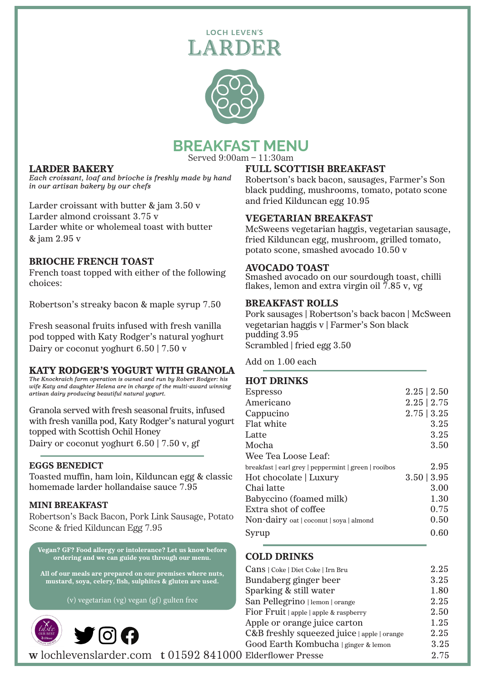## **LOCH LEVEN'S** ARDER



# **BREAKFAST MENU**

Served 9:00am – 11:30am

## LARDER BAKERY

*Each croissant, loaf and brioche is freshly made by hand in our artisan bakery by our chefs*

Larder croissant with butter & jam 3.50 v Larder almond croissant 3.75 v Larder white or wholemeal toast with butter & jam 2.95 v

### BRIOCHE FRENCH TOAST

French toast topped with either of the following choices:

Robertson's streaky bacon & maple syrup 7.50

Fresh seasonal fruits infused with fresh vanilla pod topped with Katy Rodger's natural yoghurt Dairy or coconut yoghurt 6.50 | 7.50 v

## KATY RODGER'S YOGURT WITH GRANOLA

*The Knockraich farm operation is owned and run by Robert Rodger: his wife Katy and daughter Helena are in charge of the multi-award winning artisan dairy producing beautiful natural yogurt.*

Granola served with fresh seasonal fruits, infused with fresh vanilla pod, Katy Rodger's natural yogurt topped with Scottish Ochil Honey Dairy or coconut yoghurt 6.50 | 7.50 v, gf

#### EGGS BENEDICT

Toasted muffin, ham loin, Kilduncan egg & classic homemade larder hollandaise sauce 7.95

#### MINI BREAKFAST

Robertson's Back Bacon, Pork Link Sausage, Potato Scone & fried Kilduncan Egg 7.95

Vegan? GF? Food allergy or intolerance? Let us know before ordering and we can guide you through our menu.



## FULL SCOTTISH BREAKFAST

Robertson's back bacon, sausages, Farmer's Son black pudding, mushrooms, tomato, potato scone and fried Kilduncan egg 10.95

#### VEGETARIAN BREAKFAST

McSweens vegetarian haggis, vegetarian sausage, fried Kilduncan egg, mushroom, grilled tomato, potato scone, smashed avocado 10.50 v

#### AVOCADO TOAST

Smashed avocado on our sourdough toast, chilli flakes, lemon and extra virgin oil  $7.85$  v, vg

#### BREAKFAST ROLLS

Pork sausages | Robertson's back bacon | McSween vegetarian haggis v | Farmer's Son black pudding 3.95 Scrambled | fried egg 3.50

Add on 1.00 each

#### HOT DRINKS

| Espresso                                             | $2.25 \mid 2.50$ |
|------------------------------------------------------|------------------|
| Americano                                            | 2.25   2.75      |
| Cappucino                                            | $2.75 \mid 3.25$ |
| Flat white                                           | 3.25             |
| Latte                                                | 3.25             |
| Mocha                                                | 3.50             |
| Wee Tea Loose Leaf:                                  |                  |
| breakfast   earl grey   peppermint   green   rooibos | 2.95             |
| Hot chocolate   Luxury                               | 3.50   3.95      |
| Chai latte                                           | 3.00             |
| Babyccino (foamed milk)                              | 1.30             |
| Extra shot of coffee                                 | 0.75             |
| Non-dairy oat   coconut   soya   almond              | 0.50             |
| Syrup                                                | 0.60             |
|                                                      |                  |

COLD DRINKS

| All of our meals are prepared on our premises where nuts, | Cans   Coke   Diet Coke   Irn Bru           | 2.25 |
|-----------------------------------------------------------|---------------------------------------------|------|
| mustard, soya, celery, fish, sulphites & gluten are used. | Bundaberg ginger beer                       | 3.25 |
|                                                           | Sparking & still water                      | 1.80 |
| (v) vegetarian (vg) vegan (gf) gulten free                | San Pellegrino   lemon   orange             | 2.25 |
|                                                           | Fior Fruit   apple   apple & raspberry      | 2.50 |
| taste                                                     | Apple or orange juice carton                | 1.25 |
| $\blacktriangleright$ 0 0<br>$$S$ cotland                 | C&B freshly squeezed juice   apple   orange | 2.25 |
|                                                           | Good Earth Kombucha   ginger & lemon        | 3.25 |
| w lochlevenslarder.com t 01592 841000 Elderflower Presse  |                                             | 2.75 |
|                                                           |                                             |      |